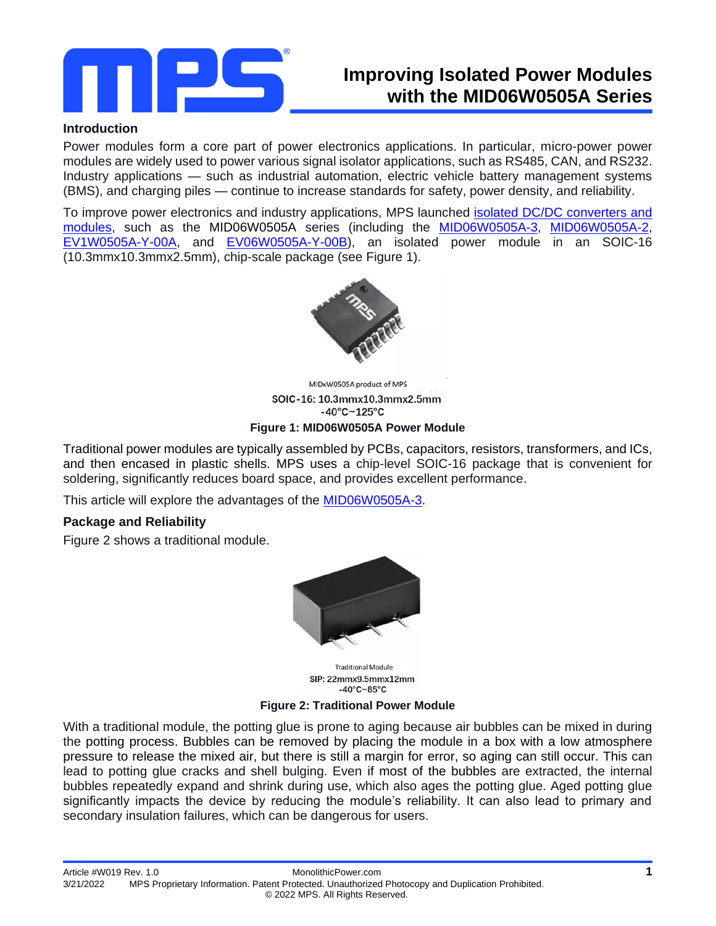

# **Improving Isolated Power Modules with the MID06W0505A Series**

### **Introduction**

Power modules form a core part of power electronics applications. In particular, micro-power power modules are widely used to power various signal isolator applications, such as RS485, CAN, and RS232. Industry applications — such as industrial automation, electric vehicle battery management systems (BMS), and charging piles — continue to increase standards for safety, power density, and reliability.

To improve power electronics and industry applications, MPS launched [isolated DC/DC converters and](https://www.monolithicpower.com/en/products/isolation/isolated-dc-dc-converters-modules.html)  [modules,](https://www.monolithicpower.com/en/products/isolation/isolated-dc-dc-converters-modules.html) such as the MID06W0505A series (including the [MID06W0505A-3,](https://www.monolithicpower.com/en/products/isolation/mid1w0505a-3s.html) [MID06W0505A-2,](https://www.monolithicpower.com/en/products/isolation/mid1w0505agy-2s.html) [EV1W0505A-Y-00A,](https://www.monolithicpower.com/en/ev1w0505a-y-00a.html) and [EV06W0505A-Y-00B\)](https://www.monolithicpower.com/en/products/ev06w0505a-y-00b.html), an isolated power module in an SOIC-16 (10.3mmx10.3mmx2.5mm), chip-scale package (see Figure 1).



MIDxW0505A product of MPS SOIC-16: 10.3mmx10.3mmx2.5mm  $-40^{\circ}$ C $-125^{\circ}$ C **Figure 1: MID06W0505A Power Module**

Traditional power modules are typically assembled by PCBs, capacitors, resistors, transformers, and ICs, and then encased in plastic shells. MPS uses a chip-level SOIC-16 package that is convenient for soldering, significantly reduces board space, and provides excellent performance.

This article will explore the advantages of the [MID06W0505A-3.](https://www.monolithicpower.com/en/products/isolation/mid1w0505a-3s.html)

# **Package and Reliability**

Figure 2 shows a traditional module.



**Traditional Module** SIP: 22mmx9.5mmx12mm  $-40^{\circ}$ C $-85^{\circ}$ C

**Figure 2: Traditional Power Module**

With a traditional module, the potting glue is prone to aging because air bubbles can be mixed in during the potting process. Bubbles can be removed by placing the module in a box with a low atmosphere pressure to release the mixed air, but there is still a margin for error, so aging can still occur. This can lead to potting glue cracks and shell bulging. Even if most of the bubbles are extracted, the internal bubbles repeatedly expand and shrink during use, which also ages the potting glue. Aged potting glue significantly impacts the device by reducing the module's reliability. It can also lead to primary and secondary insulation failures, which can be dangerous for users.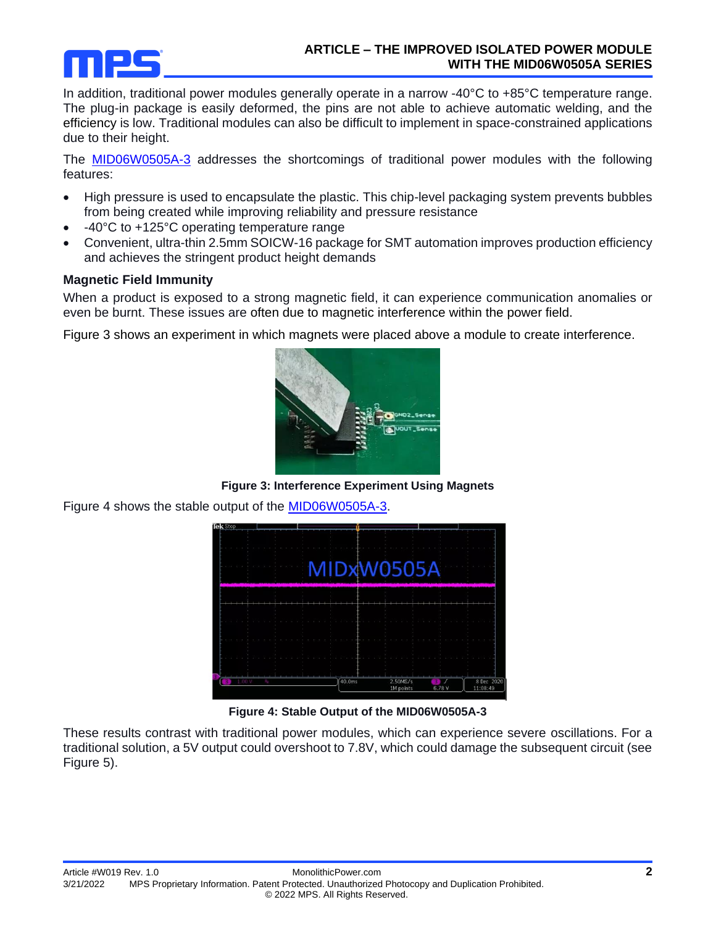

In addition, traditional power modules generally operate in a narrow -40°C to +85°C temperature range. The plug-in package is easily deformed, the pins are not able to achieve automatic welding, and the efficiency is low. Traditional modules can also be difficult to implement in space-constrained applications due to their height.

The [MID06W0505A-3](https://www.monolithicpower.com/en/products/isolation/mid1w0505a-3s.html) addresses the shortcomings of traditional power modules with the following features:

- High pressure is used to encapsulate the plastic. This chip-level packaging system prevents bubbles from being created while improving reliability and pressure resistance
- -40°C to +125°C operating temperature range
- Convenient, ultra-thin 2.5mm SOICW-16 package for SMT automation improves production efficiency and achieves the stringent product height demands

# **Magnetic Field Immunity**

When a product is exposed to a strong magnetic field, it can experience communication anomalies or even be burnt. These issues are often due to magnetic interference within the power field.

Figure 3 shows an experiment in which magnets were placed above a module to create interference.



**Figure 3: Interference Experiment Using Magnets**

Figure 4 shows the stable output of the **MID06W0505A-3**.



**Figure 4: Stable Output of the MID06W0505A-3**

These results contrast with traditional power modules, which can experience severe oscillations. For a traditional solution, a 5V output could overshoot to 7.8V, which could damage the subsequent circuit (see Figure 5).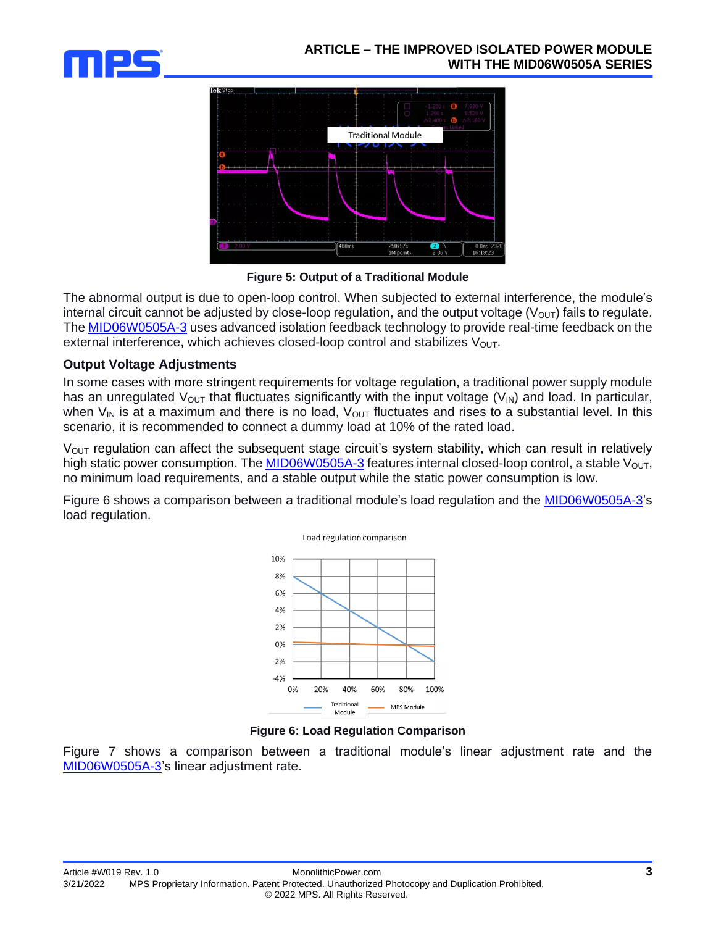



**Figure 5: Output of a Traditional Module**

The abnormal output is due to open-loop control. When subjected to external interference, the module's internal circuit cannot be adjusted by close-loop regulation, and the output voltage  $(V_{\text{OUT}})$  fails to regulate. The [MID06W0505A-3](https://www.monolithicpower.com/en/products/isolation/mid1w0505a-3s.html) uses advanced isolation feedback technology to provide real-time feedback on the external interference, which achieves closed-loop control and stabilizes  $V_{\text{OUT}}$ .

### **Output Voltage Adjustments**

In some cases with more stringent requirements for voltage regulation, a traditional power supply module has an unregulated  $V_{\text{OUT}}$  that fluctuates significantly with the input voltage ( $V_{\text{IN}}$ ) and load. In particular, when  $V_{\text{IN}}$  is at a maximum and there is no load,  $V_{\text{OUT}}$  fluctuates and rises to a substantial level. In this scenario, it is recommended to connect a dummy load at 10% of the rated load.

 $V<sub>OUT</sub>$  regulation can affect the subsequent stage circuit's system stability, which can result in relatively high static power consumption. The [MID06W0505A-3](https://www.monolithicpower.com/en/products/isolation/mid1w0505a-3s.html) features internal closed-loop control, a stable  $V_{\text{OUT}}$ , no minimum load requirements, and a stable output while the static power consumption is low.

Figure 6 shows a comparison between a traditional module's load regulation and the [MID06W0505A-3'](https://www.monolithicpower.com/en/products/isolation/mid1w0505a-3s.html)s load regulation.



**Figure 6: Load Regulation Comparison**

Figure 7 shows a comparison between a traditional module's linear adjustment rate and the [MID06W0505A-3's](https://www.monolithicpower.com/en/products/isolation/mid1w0505a-3s.html) linear adjustment rate.